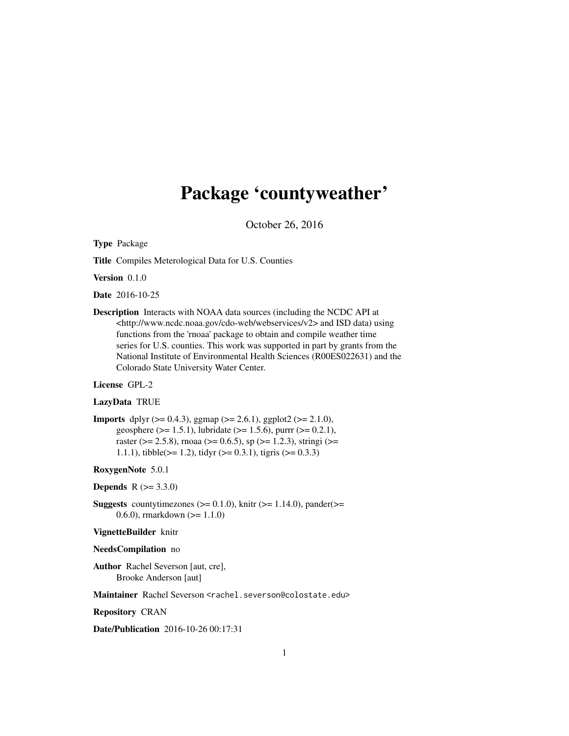# Package 'countyweather'

October 26, 2016

Type Package

Title Compiles Meterological Data for U.S. Counties

Version 0.1.0

Date 2016-10-25

Description Interacts with NOAA data sources (including the NCDC API at <http://www.ncdc.noaa.gov/cdo-web/webservices/v2> and ISD data) using functions from the 'rnoaa' package to obtain and compile weather time series for U.S. counties. This work was supported in part by grants from the National Institute of Environmental Health Sciences (R00ES022631) and the Colorado State University Water Center.

# License GPL-2

# LazyData TRUE

**Imports** dplyr ( $> = 0.4.3$ ), ggmap ( $>= 2.6.1$ ), ggplot2 ( $>= 2.1.0$ ), geosphere ( $> = 1.5.1$ ), lubridate ( $> = 1.5.6$ ), purrr ( $> = 0.2.1$ ), raster ( $>= 2.5.8$ ), rnoaa ( $>= 0.6.5$ ), sp ( $>= 1.2.3$ ), stringi ( $>=$ 1.1.1), tibble( $>= 1.2$ ), tidyr ( $>= 0.3.1$ ), tigris ( $>= 0.3.3$ )

# RoxygenNote 5.0.1

**Depends**  $R (= 3.3.0)$ 

**Suggests** countytimezones ( $>= 0.1.0$ ), knitr ( $>= 1.14.0$ ), pander( $>=$ 0.6.0), rmarkdown (>= 1.1.0)

#### VignetteBuilder knitr

#### NeedsCompilation no

Author Rachel Severson [aut, cre], Brooke Anderson [aut]

Maintainer Rachel Severson <rachel.severson@colostate.edu>

Repository CRAN

Date/Publication 2016-10-26 00:17:31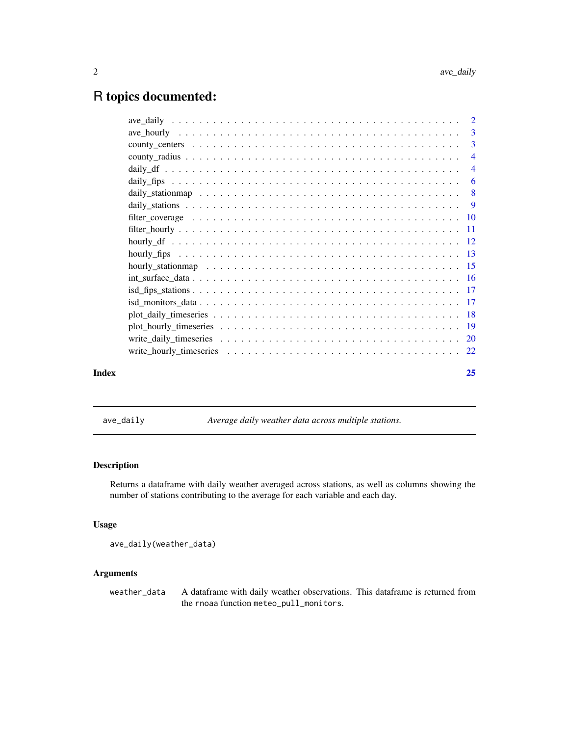# <span id="page-1-0"></span>R topics documented:

|       | 3              |
|-------|----------------|
|       | 3              |
|       | $\overline{4}$ |
|       | $\overline{4}$ |
|       | 6              |
|       |                |
|       |                |
|       |                |
|       |                |
|       |                |
|       |                |
|       |                |
|       |                |
|       |                |
|       |                |
|       |                |
|       |                |
|       |                |
|       |                |
| Index | 25             |

ave\_daily *Average daily weather data across multiple stations.*

# Description

Returns a dataframe with daily weather averaged across stations, as well as columns showing the number of stations contributing to the average for each variable and each day.

# Usage

```
ave_daily(weather_data)
```
# Arguments

weather\_data A dataframe with daily weather observations. This dataframe is returned from the rnoaa function meteo\_pull\_monitors.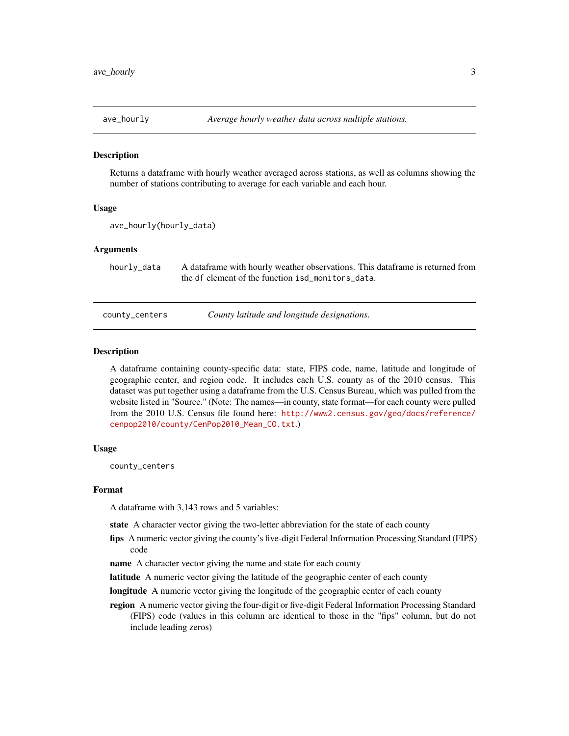<span id="page-2-0"></span>

#### **Description**

Returns a dataframe with hourly weather averaged across stations, as well as columns showing the number of stations contributing to average for each variable and each hour.

# Usage

```
ave_hourly(hourly_data)
```
# Arguments

hourly\_data A dataframe with hourly weather observations. This dataframe is returned from the df element of the function isd\_monitors\_data.

county\_centers *County latitude and longitude designations.*

#### **Description**

A dataframe containing county-specific data: state, FIPS code, name, latitude and longitude of geographic center, and region code. It includes each U.S. county as of the 2010 census. This dataset was put together using a dataframe from the U.S. Census Bureau, which was pulled from the website listed in "Source." (Note: The names—in county, state format—for each county were pulled from the 2010 U.S. Census file found here: [http://www2.census.gov/geo/docs/reference/](http://www2.census.gov/geo/docs/reference/cenpop2010/county/CenPop2010_Mean_CO.txt) [cenpop2010/county/CenPop2010\\_Mean\\_CO.txt](http://www2.census.gov/geo/docs/reference/cenpop2010/county/CenPop2010_Mean_CO.txt).)

# Usage

county\_centers

#### Format

A dataframe with 3,143 rows and 5 variables:

state A character vector giving the two-letter abbreviation for the state of each county

- fips A numeric vector giving the county's five-digit Federal Information Processing Standard (FIPS) code
- name A character vector giving the name and state for each county
- latitude A numeric vector giving the latitude of the geographic center of each county
- longitude A numeric vector giving the longitude of the geographic center of each county
- region A numeric vector giving the four-digit or five-digit Federal Information Processing Standard (FIPS) code (values in this column are identical to those in the "fips" column, but do not include leading zeros)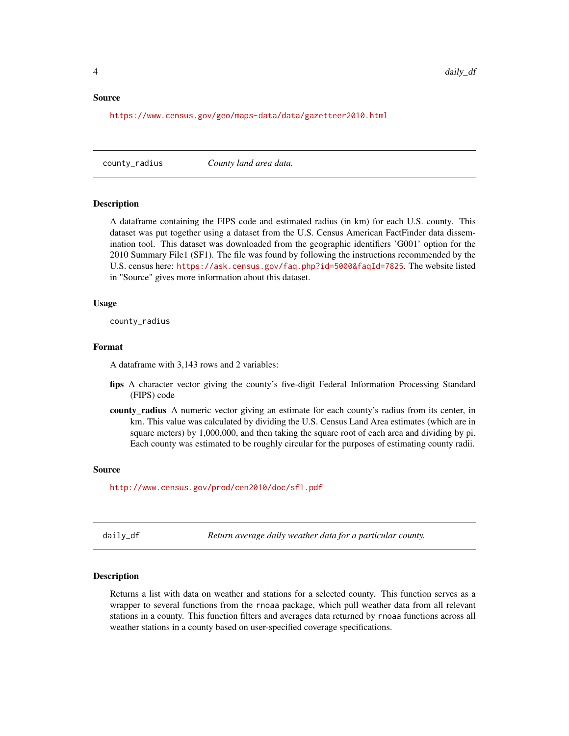#### <span id="page-3-0"></span>Source

<https://www.census.gov/geo/maps-data/data/gazetteer2010.html>

county\_radius *County land area data.*

# Description

A dataframe containing the FIPS code and estimated radius (in km) for each U.S. county. This dataset was put together using a dataset from the U.S. Census American FactFinder data dissemination tool. This dataset was downloaded from the geographic identifiers 'G001' option for the 2010 Summary File1 (SF1). The file was found by following the instructions recommended by the U.S. census here: <https://ask.census.gov/faq.php?id=5000&faqId=7825>. The website listed in "Source" gives more information about this dataset.

# Usage

county\_radius

# Format

A dataframe with 3,143 rows and 2 variables:

- fips A character vector giving the county's five-digit Federal Information Processing Standard (FIPS) code
- county\_radius A numeric vector giving an estimate for each county's radius from its center, in km. This value was calculated by dividing the U.S. Census Land Area estimates (which are in square meters) by 1,000,000, and then taking the square root of each area and dividing by pi. Each county was estimated to be roughly circular for the purposes of estimating county radii.

# Source

<http://www.census.gov/prod/cen2010/doc/sf1.pdf>

daily\_df *Return average daily weather data for a particular county.*

# **Description**

Returns a list with data on weather and stations for a selected county. This function serves as a wrapper to several functions from the rnoaa package, which pull weather data from all relevant stations in a county. This function filters and averages data returned by rnoaa functions across all weather stations in a county based on user-specified coverage specifications.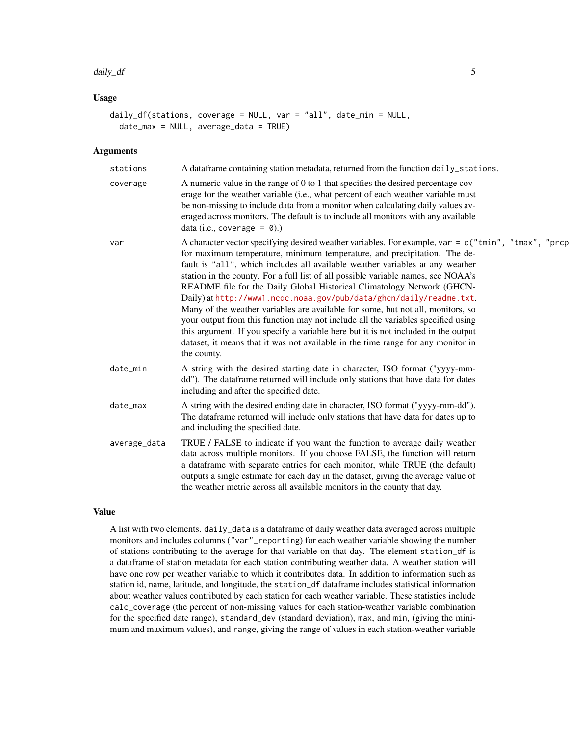#### daily\_df 5

# Usage

```
daily_df(stations, coverage = NULL, var = "all", date_min = NULL,
 date_max = NULL, average_data = TRUE)
```
# Arguments

| stations     | A data frame containing station metadata, returned from the function daily_stations.                                                                                                                                                                                                                                                                                                                                                                                                                                                                                                                                                                                                                                                                                                                                                                                      |
|--------------|---------------------------------------------------------------------------------------------------------------------------------------------------------------------------------------------------------------------------------------------------------------------------------------------------------------------------------------------------------------------------------------------------------------------------------------------------------------------------------------------------------------------------------------------------------------------------------------------------------------------------------------------------------------------------------------------------------------------------------------------------------------------------------------------------------------------------------------------------------------------------|
| coverage     | A numeric value in the range of 0 to 1 that specifies the desired percentage cov-<br>erage for the weather variable (i.e., what percent of each weather variable must<br>be non-missing to include data from a monitor when calculating daily values av-<br>eraged across monitors. The default is to include all monitors with any available<br>data (i.e., coverage = $\theta$ ).)                                                                                                                                                                                                                                                                                                                                                                                                                                                                                      |
| var          | A character vector specifying desired weather variables. For example, var = $c$ ("tmin", "tmax", "prcp<br>for maximum temperature, minimum temperature, and precipitation. The de-<br>fault is "all", which includes all available weather variables at any weather<br>station in the county. For a full list of all possible variable names, see NOAA's<br>README file for the Daily Global Historical Climatology Network (GHCN-<br>Daily) at http://www1.ncdc.noaa.gov/pub/data/ghcn/daily/readme.txt.<br>Many of the weather variables are available for some, but not all, monitors, so<br>your output from this function may not include all the variables specified using<br>this argument. If you specify a variable here but it is not included in the output<br>dataset, it means that it was not available in the time range for any monitor in<br>the county. |
| date_min     | A string with the desired starting date in character, ISO format ("yyyy-mm-<br>dd"). The dataframe returned will include only stations that have data for dates<br>including and after the specified date.                                                                                                                                                                                                                                                                                                                                                                                                                                                                                                                                                                                                                                                                |
| date_max     | A string with the desired ending date in character, ISO format ("yyyy-mm-dd").<br>The dataframe returned will include only stations that have data for dates up to<br>and including the specified date.                                                                                                                                                                                                                                                                                                                                                                                                                                                                                                                                                                                                                                                                   |
| average_data | TRUE / FALSE to indicate if you want the function to average daily weather<br>data across multiple monitors. If you choose FALSE, the function will return<br>a dataframe with separate entries for each monitor, while TRUE (the default)<br>outputs a single estimate for each day in the dataset, giving the average value of<br>the weather metric across all available monitors in the county that day.                                                                                                                                                                                                                                                                                                                                                                                                                                                              |

# Value

A list with two elements. daily\_data is a dataframe of daily weather data averaged across multiple monitors and includes columns ("var"\_reporting) for each weather variable showing the number of stations contributing to the average for that variable on that day. The element station\_df is a dataframe of station metadata for each station contributing weather data. A weather station will have one row per weather variable to which it contributes data. In addition to information such as station id, name, latitude, and longitude, the station\_df dataframe includes statistical information about weather values contributed by each station for each weather variable. These statistics include calc\_coverage (the percent of non-missing values for each station-weather variable combination for the specified date range), standard\_dev (standard deviation), max, and min, (giving the minimum and maximum values), and range, giving the range of values in each station-weather variable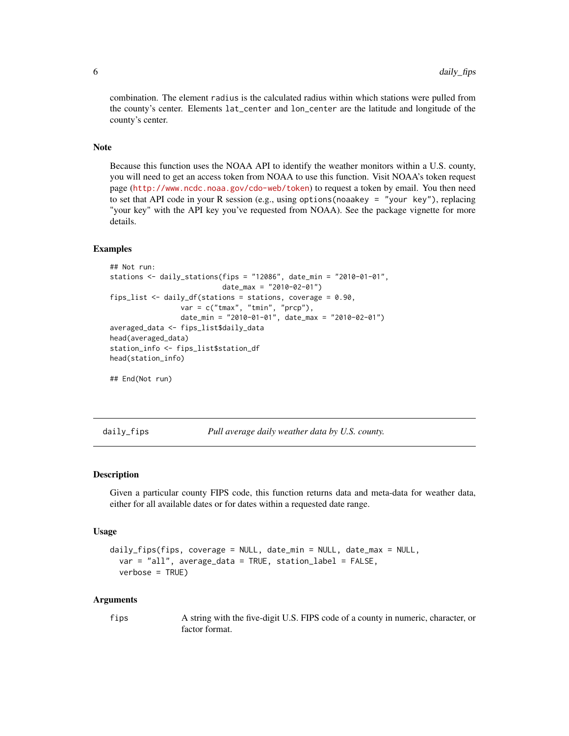<span id="page-5-0"></span>combination. The element radius is the calculated radius within which stations were pulled from the county's center. Elements lat\_center and lon\_center are the latitude and longitude of the county's center.

# Note

Because this function uses the NOAA API to identify the weather monitors within a U.S. county, you will need to get an access token from NOAA to use this function. Visit NOAA's token request page (<http://www.ncdc.noaa.gov/cdo-web/token>) to request a token by email. You then need to set that API code in your R session (e.g., using options(noaakey = "your key"), replacing "your key" with the API key you've requested from NOAA). See the package vignette for more details.

#### Examples

```
## Not run:
stations <- daily_stations(fips = "12086", date_min = "2010-01-01",
                           date_max = "2010-02-01")
fips_list <- daily_df(stations = stations, coverage = 0.90,
                var = c("tmax", "tmin", "prcp"),
                 date_min = "2010-01-01", date_max = "2010-02-01")
averaged_data <- fips_list$daily_data
head(averaged_data)
station_info <- fips_list$station_df
head(station_info)
```
## End(Not run)

daily\_fips *Pull average daily weather data by U.S. county.*

# **Description**

Given a particular county FIPS code, this function returns data and meta-data for weather data, either for all available dates or for dates within a requested date range.

#### Usage

```
daily_fips(fips, coverage = NULL, date_min = NULL, date_max = NULL,
 var = "all", average_data = TRUE, station_label = FALSE,
 verbose = TRUE)
```
# Arguments

fips A string with the five-digit U.S. FIPS code of a county in numeric, character, or factor format.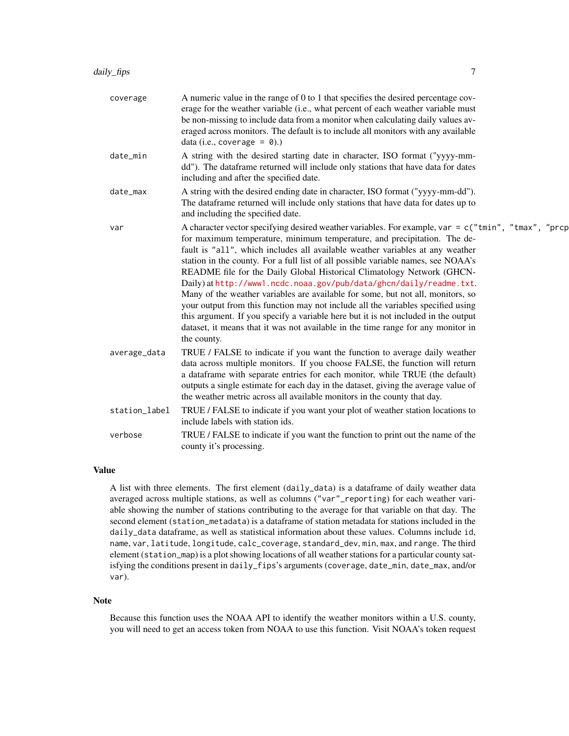| coverage      | A numeric value in the range of 0 to 1 that specifies the desired percentage cov-<br>erage for the weather variable (i.e., what percent of each weather variable must<br>be non-missing to include data from a monitor when calculating daily values av-<br>eraged across monitors. The default is to include all monitors with any available<br>data (i.e., coverage = $\theta$ ).)                                                                                                                                                                                                                                                                                                                                                                                                                                                                                      |
|---------------|---------------------------------------------------------------------------------------------------------------------------------------------------------------------------------------------------------------------------------------------------------------------------------------------------------------------------------------------------------------------------------------------------------------------------------------------------------------------------------------------------------------------------------------------------------------------------------------------------------------------------------------------------------------------------------------------------------------------------------------------------------------------------------------------------------------------------------------------------------------------------|
| date_min      | A string with the desired starting date in character, ISO format ("yyyy-mm-<br>dd"). The dataframe returned will include only stations that have data for dates<br>including and after the specified date.                                                                                                                                                                                                                                                                                                                                                                                                                                                                                                                                                                                                                                                                |
| date_max      | A string with the desired ending date in character, ISO format ("yyyy-mm-dd").<br>The dataframe returned will include only stations that have data for dates up to<br>and including the specified date.                                                                                                                                                                                                                                                                                                                                                                                                                                                                                                                                                                                                                                                                   |
| var           | A character vector specifying desired weather variables. For example, var = $c("tmin", "tmax", "prcp"$<br>for maximum temperature, minimum temperature, and precipitation. The de-<br>fault is "all", which includes all available weather variables at any weather<br>station in the county. For a full list of all possible variable names, see NOAA's<br>README file for the Daily Global Historical Climatology Network (GHCN-<br>Daily) at http://www1.ncdc.noaa.gov/pub/data/ghcn/daily/readme.txt.<br>Many of the weather variables are available for some, but not all, monitors, so<br>your output from this function may not include all the variables specified using<br>this argument. If you specify a variable here but it is not included in the output<br>dataset, it means that it was not available in the time range for any monitor in<br>the county. |
| average_data  | TRUE / FALSE to indicate if you want the function to average daily weather<br>data across multiple monitors. If you choose FALSE, the function will return<br>a dataframe with separate entries for each monitor, while TRUE (the default)<br>outputs a single estimate for each day in the dataset, giving the average value of<br>the weather metric across all available monitors in the county that day.                                                                                                                                                                                                                                                                                                                                                                                                                                                              |
| station_label | TRUE / FALSE to indicate if you want your plot of weather station locations to<br>include labels with station ids.                                                                                                                                                                                                                                                                                                                                                                                                                                                                                                                                                                                                                                                                                                                                                        |
| verbose       | TRUE / FALSE to indicate if you want the function to print out the name of the<br>county it's processing.                                                                                                                                                                                                                                                                                                                                                                                                                                                                                                                                                                                                                                                                                                                                                                 |
|               |                                                                                                                                                                                                                                                                                                                                                                                                                                                                                                                                                                                                                                                                                                                                                                                                                                                                           |

# Value

A list with three elements. The first element (daily\_data) is a dataframe of daily weather data averaged across multiple stations, as well as columns ("var"\_reporting) for each weather variable showing the number of stations contributing to the average for that variable on that day. The second element (station\_metadata) is a dataframe of station metadata for stations included in the daily\_data dataframe, as well as statistical information about these values. Columns include id, name, var, latitude, longitude, calc\_coverage, standard\_dev, min, max, and range. The third element (station\_map) is a plot showing locations of all weather stations for a particular county satisfying the conditions present in daily\_fips's arguments (coverage, date\_min, date\_max, and/or var).

#### Note

Because this function uses the NOAA API to identify the weather monitors within a U.S. county, you will need to get an access token from NOAA to use this function. Visit NOAA's token request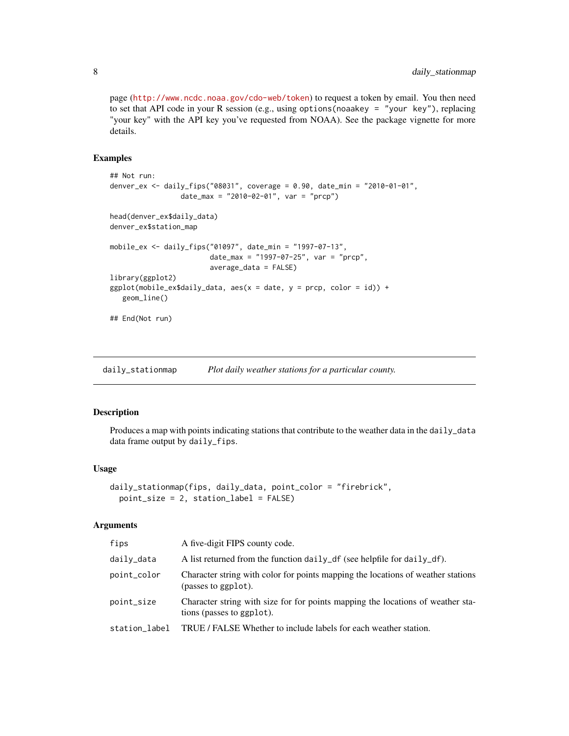page (<http://www.ncdc.noaa.gov/cdo-web/token>) to request a token by email. You then need to set that API code in your R session (e.g., using options(noaakey = "your key"), replacing "your key" with the API key you've requested from NOAA). See the package vignette for more details.

# Examples

```
## Not run:
denver_ex <- daily_fips("08031", coverage = 0.90, date_min = "2010-01-01",
                 date_max = "2010-02-01", var = "prcp")
head(denver_ex$daily_data)
denver_ex$station_map
mobile_ex <- daily_fips("01097", date_min = "1997-07-13",
                        date_max = "1997-07-25", var = "prcp",
                        average_data = FALSE)
library(ggplot2)
ggplot(mobile\_ex$daily_data, aes(x = date, y = prop, color = id)) +geom_line()
## End(Not run)
```
daily\_stationmap *Plot daily weather stations for a particular county.*

# Description

Produces a map with points indicating stations that contribute to the weather data in the daily\_data data frame output by daily\_fips.

#### Usage

```
daily_stationmap(fips, daily_data, point_color = "firebrick",
 point_size = 2, station_label = FALSE)
```
#### Arguments

| fips          | A five-digit FIPS county code.                                                                               |
|---------------|--------------------------------------------------------------------------------------------------------------|
| daily_data    | A list returned from the function daily_df (see helpfile for daily_df).                                      |
| point_color   | Character string with color for points mapping the locations of weather stations<br>(passes to ggplot).      |
| point_size    | Character string with size for for points mapping the locations of weather sta-<br>tions (passes to ggplot). |
| station label | TRUE / FALSE Whether to include labels for each weather station.                                             |

<span id="page-7-0"></span>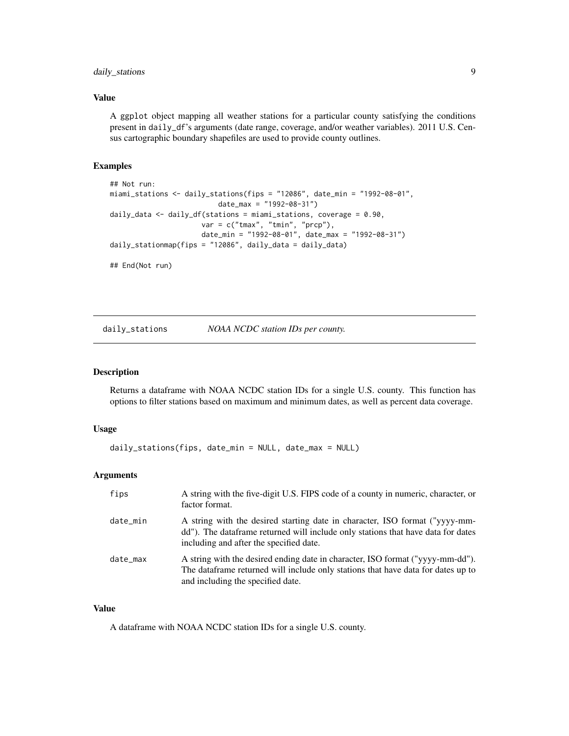# <span id="page-8-0"></span>daily\_stations 9

# Value

A ggplot object mapping all weather stations for a particular county satisfying the conditions present in daily\_df's arguments (date range, coverage, and/or weather variables). 2011 U.S. Census cartographic boundary shapefiles are used to provide county outlines.

# Examples

```
## Not run:
miami_stations <- daily_stations(fips = "12086", date_min = "1992-08-01",
                          date_max = "1992-08-31")
daily_data <- daily_df(stations = miami_stations, coverage = 0.90,
                      var = c("tmax", "tmin", "prcp"),
                      date_min = "1992-08-01", date_max = "1992-08-31")
daily_stationmap(fips = "12086", daily_data = daily_data)
## End(Not run)
```
daily\_stations *NOAA NCDC station IDs per county.*

# Description

Returns a dataframe with NOAA NCDC station IDs for a single U.S. county. This function has options to filter stations based on maximum and minimum dates, as well as percent data coverage.

# Usage

```
daily_stations(fips, date_min = NULL, date_max = NULL)
```
# Arguments

| fips     | A string with the five-digit U.S. FIPS code of a county in numeric, character, or<br>factor format.                                                                                                         |
|----------|-------------------------------------------------------------------------------------------------------------------------------------------------------------------------------------------------------------|
| date_min | A string with the desired starting date in character, ISO format ("yyyy-mm-<br>dd"). The data frame returned will include only stations that have data for dates<br>including and after the specified date. |
| date_max | A string with the desired ending date in character, ISO format ("yyyy-mm-dd").<br>The data frame returned will include only stations that have data for dates up to<br>and including the specified date.    |

# Value

A dataframe with NOAA NCDC station IDs for a single U.S. county.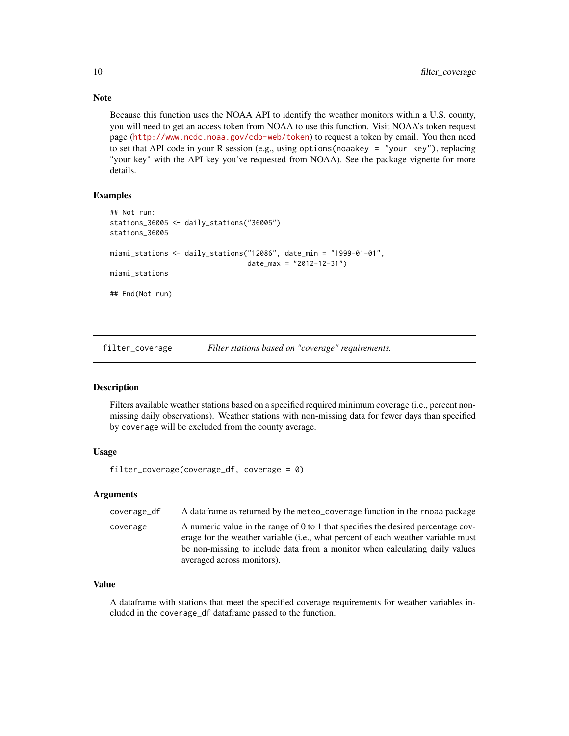Because this function uses the NOAA API to identify the weather monitors within a U.S. county, you will need to get an access token from NOAA to use this function. Visit NOAA's token request page (<http://www.ncdc.noaa.gov/cdo-web/token>) to request a token by email. You then need to set that API code in your R session (e.g., using options(noaakey = "your key"), replacing "your key" with the API key you've requested from NOAA). See the package vignette for more details.

#### Examples

```
## Not run:
stations_36005 <- daily_stations("36005")
stations_36005
miami_stations <- daily_stations("12086", date_min = "1999-01-01",
                                 date_max = "2012-12-31")
miami_stations
## End(Not run)
```
filter\_coverage *Filter stations based on "coverage" requirements.*

#### Description

Filters available weather stations based on a specified required minimum coverage (i.e., percent nonmissing daily observations). Weather stations with non-missing data for fewer days than specified by coverage will be excluded from the county average.

# Usage

```
filter_coverage(coverage_df, coverage = 0)
```
# Arguments

| coverage_df | A dataframe as returned by the meteo_coverage function in the rnoaa package                                                                                                                                                                                                                 |
|-------------|---------------------------------------------------------------------------------------------------------------------------------------------------------------------------------------------------------------------------------------------------------------------------------------------|
| coverage    | A numeric value in the range of 0 to 1 that specifies the desired percentage cov-<br>erage for the weather variable ( <i>i.e.</i> , what percent of each weather variable must<br>be non-missing to include data from a monitor when calculating daily values<br>averaged across monitors). |

# Value

A dataframe with stations that meet the specified coverage requirements for weather variables included in the coverage\_df dataframe passed to the function.

<span id="page-9-0"></span>

# Note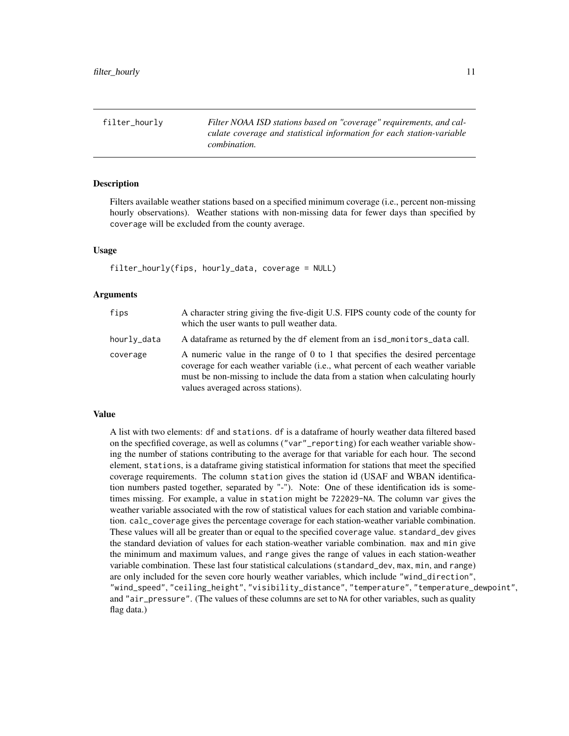<span id="page-10-0"></span>filter\_hourly *Filter NOAA ISD stations based on "coverage" requirements, and calculate coverage and statistical information for each station-variable combination.*

# Description

Filters available weather stations based on a specified minimum coverage (i.e., percent non-missing hourly observations). Weather stations with non-missing data for fewer days than specified by coverage will be excluded from the county average.

# Usage

```
filter_hourly(fips, hourly_data, coverage = NULL)
```
# Arguments

| fips        | A character string giving the five-digit U.S. FIPS county code of the county for<br>which the user wants to pull weather data.                                                                                                                                                         |
|-------------|----------------------------------------------------------------------------------------------------------------------------------------------------------------------------------------------------------------------------------------------------------------------------------------|
| hourly_data | A data frame as returned by the df element from an isd_monitors_data call.                                                                                                                                                                                                             |
| coverage    | A numeric value in the range of 0 to 1 that specifies the desired percentage<br>coverage for each weather variable (i.e., what percent of each weather variable<br>must be non-missing to include the data from a station when calculating hourly<br>values averaged across stations). |

### Value

A list with two elements: df and stations. df is a dataframe of hourly weather data filtered based on the specfified coverage, as well as columns ("var"\_reporting) for each weather variable showing the number of stations contributing to the average for that variable for each hour. The second element, stations, is a dataframe giving statistical information for stations that meet the specified coverage requirements. The column station gives the station id (USAF and WBAN identification numbers pasted together, separated by "-"). Note: One of these identification ids is sometimes missing. For example, a value in station might be 722029-NA. The column var gives the weather variable associated with the row of statistical values for each station and variable combination. calc\_coverage gives the percentage coverage for each station-weather variable combination. These values will all be greater than or equal to the specified coverage value. standard\_dev gives the standard deviation of values for each station-weather variable combination. max and min give the minimum and maximum values, and range gives the range of values in each station-weather variable combination. These last four statistical calculations (standard\_dev, max, min, and range) are only included for the seven core hourly weather variables, which include "wind\_direction", "wind\_speed", "ceiling\_height", "visibility\_distance", "temperature", "temperature\_dewpoint", and "air\_pressure". (The values of these columns are set to NA for other variables, such as quality flag data.)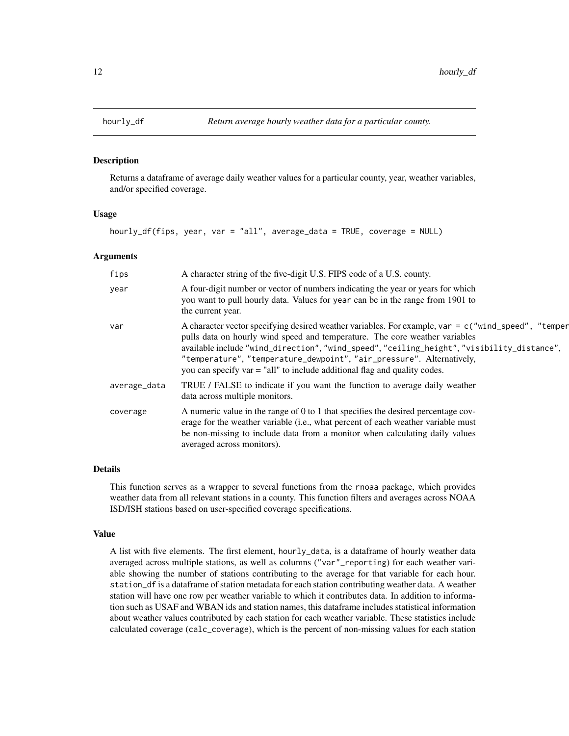<span id="page-11-0"></span>

#### Description

Returns a dataframe of average daily weather values for a particular county, year, weather variables, and/or specified coverage.

#### Usage

hourly\_df(fips, year, var = "all", average\_data = TRUE, coverage = NULL)

#### Arguments

| fips         | A character string of the five-digit U.S. FIPS code of a U.S. county.                                                                                                                                                                                                                                                                                                                                                                    |
|--------------|------------------------------------------------------------------------------------------------------------------------------------------------------------------------------------------------------------------------------------------------------------------------------------------------------------------------------------------------------------------------------------------------------------------------------------------|
| year         | A four-digit number or vector of numbers indicating the year or years for which<br>you want to pull hourly data. Values for year can be in the range from 1901 to<br>the current year.                                                                                                                                                                                                                                                   |
| var          | A character vector specifying desired weather variables. For example, var = c("wind_speed", "temper<br>pulls data on hourly wind speed and temperature. The core weather variables<br>available include "wind_direction", "wind_speed", "ceiling_height", "visibility_distance",<br>"temperature", "temperature_dewpoint", "air_pressure". Alternatively,<br>you can specify $var = "all"$ to include additional flag and quality codes. |
| average_data | TRUE / FALSE to indicate if you want the function to average daily weather<br>data across multiple monitors.                                                                                                                                                                                                                                                                                                                             |
| coverage     | A numeric value in the range of 0 to 1 that specifies the desired percentage cov-<br>erage for the weather variable (i.e., what percent of each weather variable must<br>be non-missing to include data from a monitor when calculating daily values<br>averaged across monitors).                                                                                                                                                       |

# Details

This function serves as a wrapper to several functions from the rnoaa package, which provides weather data from all relevant stations in a county. This function filters and averages across NOAA ISD/ISH stations based on user-specified coverage specifications.

# Value

A list with five elements. The first element, hourly\_data, is a dataframe of hourly weather data averaged across multiple stations, as well as columns ("var"\_reporting) for each weather variable showing the number of stations contributing to the average for that variable for each hour. station\_df is a dataframe of station metadata for each station contributing weather data. A weather station will have one row per weather variable to which it contributes data. In addition to information such as USAF and WBAN ids and station names, this dataframe includes statistical information about weather values contributed by each station for each weather variable. These statistics include calculated coverage (calc\_coverage), which is the percent of non-missing values for each station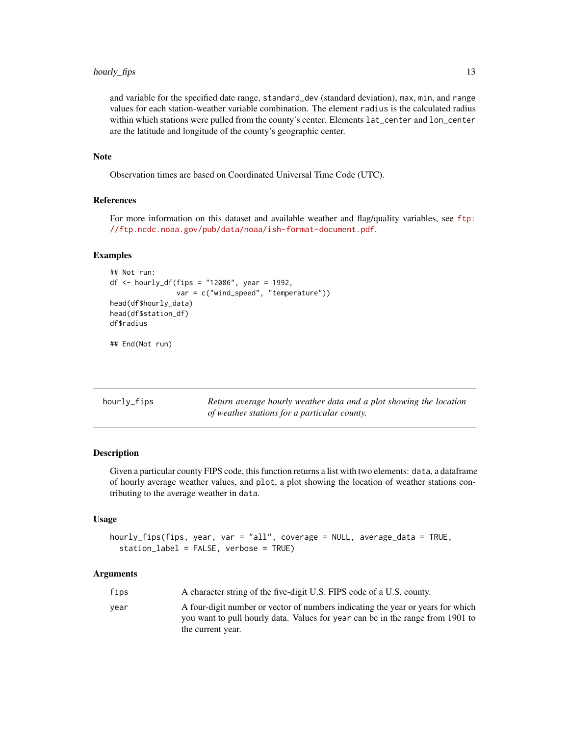# <span id="page-12-0"></span>hourly\_fips 13

and variable for the specified date range, standard\_dev (standard deviation), max, min, and range values for each station-weather variable combination. The element radius is the calculated radius within which stations were pulled from the county's center. Elements lat\_center and lon\_center are the latitude and longitude of the county's geographic center.

#### Note

Observation times are based on Coordinated Universal Time Code (UTC).

#### References

For more information on this dataset and available weather and flag/quality variables, see [ftp:](ftp://ftp.ncdc.noaa.gov/pub/data/noaa/ish-format-document.pdf) [//ftp.ncdc.noaa.gov/pub/data/noaa/ish-format-document.pdf](ftp://ftp.ncdc.noaa.gov/pub/data/noaa/ish-format-document.pdf).

# Examples

```
## Not run:
df <- hourly_df(fips = "12086", year = 1992,
                var = c("wind_speed", "temperature"))
head(df$hourly_data)
head(df$station_df)
df$radius
```
## End(Not run)

| hourly_fips | Return average hourly weather data and a plot showing the location |
|-------------|--------------------------------------------------------------------|
|             | of weather stations for a particular county.                       |

# Description

Given a particular county FIPS code, this function returns a list with two elements: data, a dataframe of hourly average weather values, and plot, a plot showing the location of weather stations contributing to the average weather in data.

#### Usage

```
hourly_fips(fips, year, var = "all", coverage = NULL, average_data = TRUE,
  station_label = FALSE, verbose = TRUE)
```
#### Arguments

| A character string of the five-digit U.S. FIPS code of a U.S. county.<br>fips                                                                                                                  |  |
|------------------------------------------------------------------------------------------------------------------------------------------------------------------------------------------------|--|
| A four-digit number or vector of numbers indicating the year or years for which<br>vear<br>you want to pull hourly data. Values for year can be in the range from 1901 to<br>the current year. |  |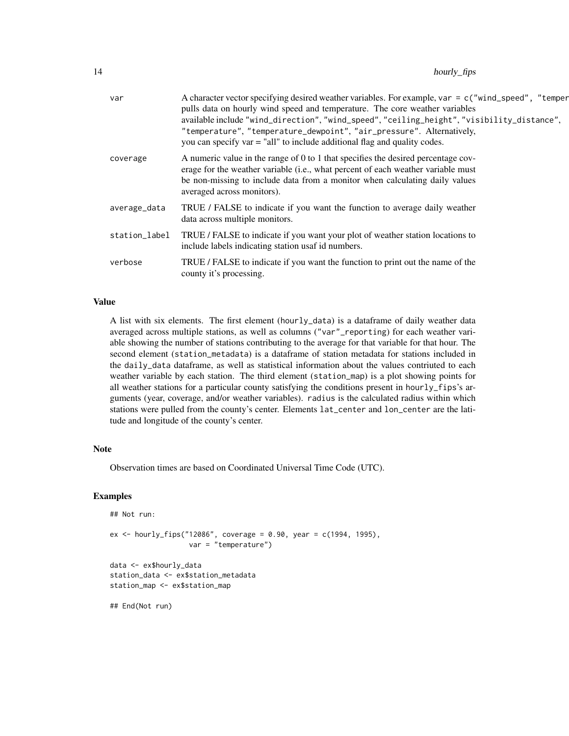| var           | A character vector specifying desired weather variables. For example, var = c("wind_speed", "temper<br>pulls data on hourly wind speed and temperature. The core weather variables<br>available include "wind_direction", "wind_speed", "ceiling_height", "visibility_distance",<br>"temperature", "temperature_dewpoint", "air_pressure". Alternatively,<br>you can specify $var = "all"$ to include additional flag and quality codes. |
|---------------|------------------------------------------------------------------------------------------------------------------------------------------------------------------------------------------------------------------------------------------------------------------------------------------------------------------------------------------------------------------------------------------------------------------------------------------|
| coverage      | A numeric value in the range of 0 to 1 that specifies the desired percentage cov-<br>erage for the weather variable (i.e., what percent of each weather variable must<br>be non-missing to include data from a monitor when calculating daily values<br>averaged across monitors).                                                                                                                                                       |
| average_data  | TRUE / FALSE to indicate if you want the function to average daily weather<br>data across multiple monitors.                                                                                                                                                                                                                                                                                                                             |
| station_label | TRUE / FALSE to indicate if you want your plot of weather station locations to<br>include labels indicating station usaf id numbers.                                                                                                                                                                                                                                                                                                     |
| verbose       | TRUE / FALSE to indicate if you want the function to print out the name of the<br>county it's processing.                                                                                                                                                                                                                                                                                                                                |

# Value

A list with six elements. The first element (hourly\_data) is a dataframe of daily weather data averaged across multiple stations, as well as columns ("var"\_reporting) for each weather variable showing the number of stations contributing to the average for that variable for that hour. The second element (station\_metadata) is a dataframe of station metadata for stations included in the daily\_data dataframe, as well as statistical information about the values contriuted to each weather variable by each station. The third element (station\_map) is a plot showing points for all weather stations for a particular county satisfying the conditions present in hourly\_fips's arguments (year, coverage, and/or weather variables). radius is the calculated radius within which stations were pulled from the county's center. Elements lat\_center and lon\_center are the latitude and longitude of the county's center.

### Note

Observation times are based on Coordinated Universal Time Code (UTC).

# Examples

```
## Not run:
ex <- hourly_fips("12086", coverage = 0.90, year = c(1994, 1995),
                   var = "temperature")
data <- ex$hourly_data
station_data <- ex$station_metadata
station_map <- ex$station_map
## End(Not run)
```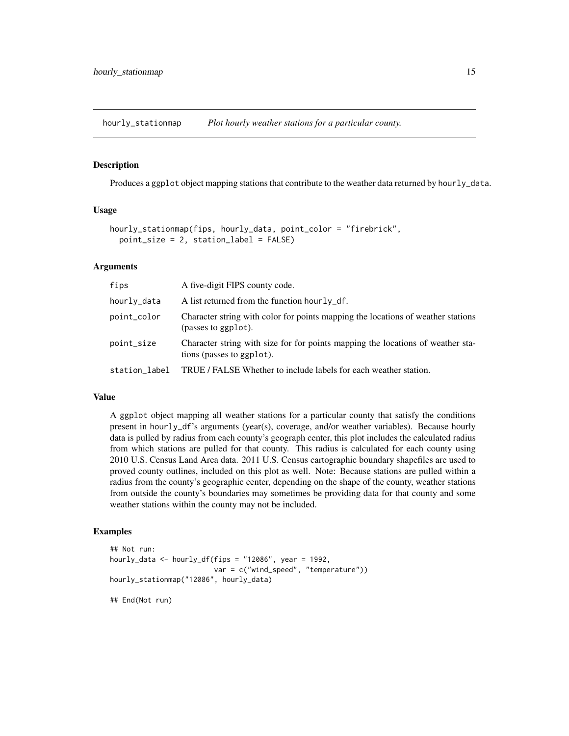<span id="page-14-0"></span>hourly\_stationmap *Plot hourly weather stations for a particular county.*

#### Description

Produces a ggplot object mapping stations that contribute to the weather data returned by hourly\_data.

# Usage

```
hourly_stationmap(fips, hourly_data, point_color = "firebrick",
 point_size = 2, station_label = FALSE)
```
# Arguments

| fips          | A five-digit FIPS county code.                                                                               |
|---------------|--------------------------------------------------------------------------------------------------------------|
| hourly_data   | A list returned from the function hour Ly_df.                                                                |
| point_color   | Character string with color for points mapping the locations of weather stations<br>(passes to ggplot).      |
| point_size    | Character string with size for for points mapping the locations of weather sta-<br>tions (passes to ggplot). |
| station_label | TRUE / FALSE Whether to include labels for each weather station.                                             |

#### Value

A ggplot object mapping all weather stations for a particular county that satisfy the conditions present in hourly\_df's arguments (year(s), coverage, and/or weather variables). Because hourly data is pulled by radius from each county's geograph center, this plot includes the calculated radius from which stations are pulled for that county. This radius is calculated for each county using 2010 U.S. Census Land Area data. 2011 U.S. Census cartographic boundary shapefiles are used to proved county outlines, included on this plot as well. Note: Because stations are pulled within a radius from the county's geographic center, depending on the shape of the county, weather stations from outside the county's boundaries may sometimes be providing data for that county and some weather stations within the county may not be included.

# Examples

```
## Not run:
hourly_data <- hourly_df(fips = "12086", year = 1992,
                         var = c("wind_speed", "temperature"))
hourly_stationmap("12086", hourly_data)
## End(Not run)
```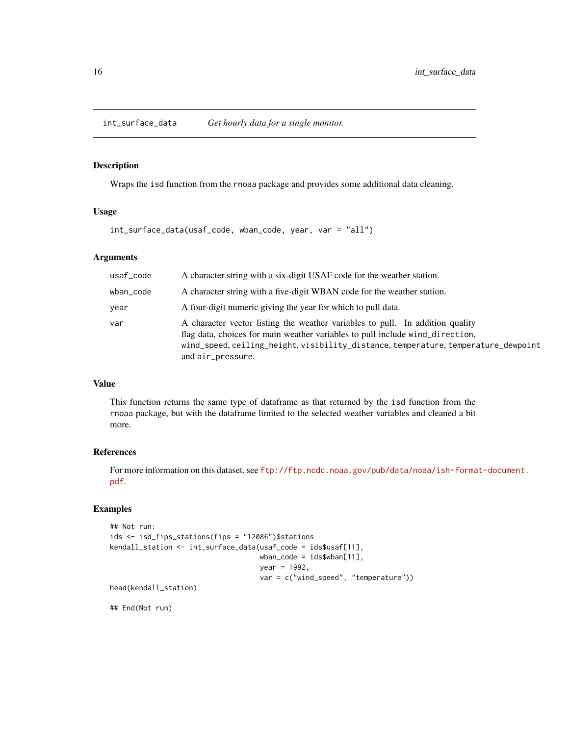<span id="page-15-0"></span>int\_surface\_data *Get hourly data for a single monitor.*

# Description

Wraps the isd function from the rnoaa package and provides some additional data cleaning.

# Usage

int\_surface\_data(usaf\_code, wban\_code, year, var = "all")

#### Arguments

| usaf_code | A character string with a six-digit USAF code for the weather station.                                                                                                                                                                                                    |
|-----------|---------------------------------------------------------------------------------------------------------------------------------------------------------------------------------------------------------------------------------------------------------------------------|
| wban_code | A character string with a five-digit WBAN code for the weather station.                                                                                                                                                                                                   |
| year      | A four-digit numeric giving the year for which to pull data.                                                                                                                                                                                                              |
| var       | A character vector listing the weather variables to pull. In addition quality<br>flag data, choices for main weather variables to pull include wind_direction,<br>wind_speed, ceiling_height, visibility_distance, temperature, temperature_dewpoint<br>and air_pressure. |

# Value

This function returns the same type of dataframe as that returned by the isd function from the rnoaa package, but with the dataframe limited to the selected weather variables and cleaned a bit more.

# References

For more information on this dataset, see [ftp://ftp.ncdc.noaa.gov/pub/data/noaa/ish-forma](ftp://ftp.ncdc.noaa.gov/pub/data/noaa/ish-format-document.pdf)t-document. [pdf](ftp://ftp.ncdc.noaa.gov/pub/data/noaa/ish-format-document.pdf).

# Examples

```
## Not run:
ids <- isd_fips_stations(fips = "12086")$stations
kendall_station <- int_surface_data(usaf_code = ids$usaf[11],
                                    wban_code = ids$wban[11],
                                    year = 1992,
                                    var = c("wind_speed", "temperature"))
head(kendall_station)
```
## End(Not run)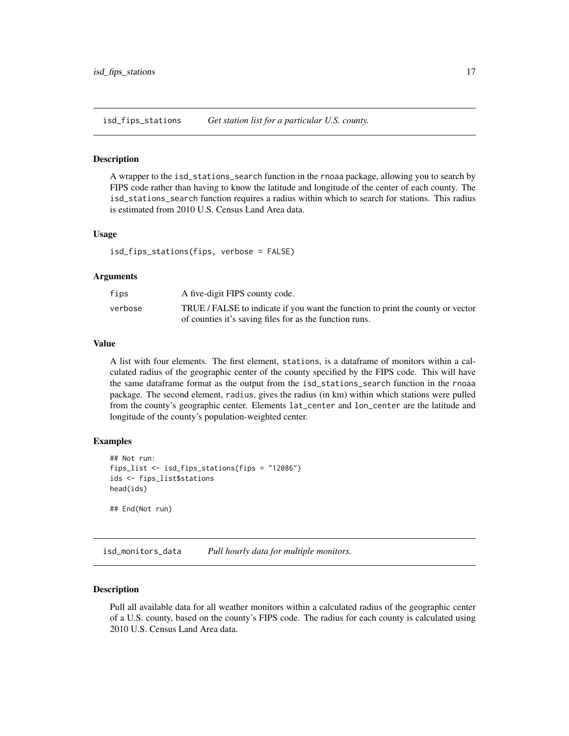<span id="page-16-0"></span>isd\_fips\_stations *Get station list for a particular U.S. county.*

# Description

A wrapper to the isd\_stations\_search function in the rnoaa package, allowing you to search by FIPS code rather than having to know the latitude and longitude of the center of each county. The isd\_stations\_search function requires a radius within which to search for stations. This radius is estimated from 2010 U.S. Census Land Area data.

# Usage

isd\_fips\_stations(fips, verbose = FALSE)

#### Arguments

| fips    | A five-digit FIPS county code.                                                  |
|---------|---------------------------------------------------------------------------------|
| verbose | TRUE / FALSE to indicate if you want the function to print the county or vector |
|         | of counties it's saving files for as the function runs.                         |

# Value

A list with four elements. The first element, stations, is a dataframe of monitors within a calculated radius of the geographic center of the county specified by the FIPS code. This will have the same dataframe format as the output from the isd\_stations\_search function in the rnoaa package. The second element, radius, gives the radius (in km) within which stations were pulled from the county's geographic center. Elements lat\_center and lon\_center are the latitude and longitude of the county's population-weighted center.

# Examples

```
## Not run:
fips_list <- isd_fips_stations(fips = "12086")
ids <- fips_list$stations
head(ids)
## End(Not run)
```
isd\_monitors\_data *Pull hourly data for multiple monitors.*

# **Description**

Pull all available data for all weather monitors within a calculated radius of the geographic center of a U.S. county, based on the county's FIPS code. The radius for each county is calculated using 2010 U.S. Census Land Area data.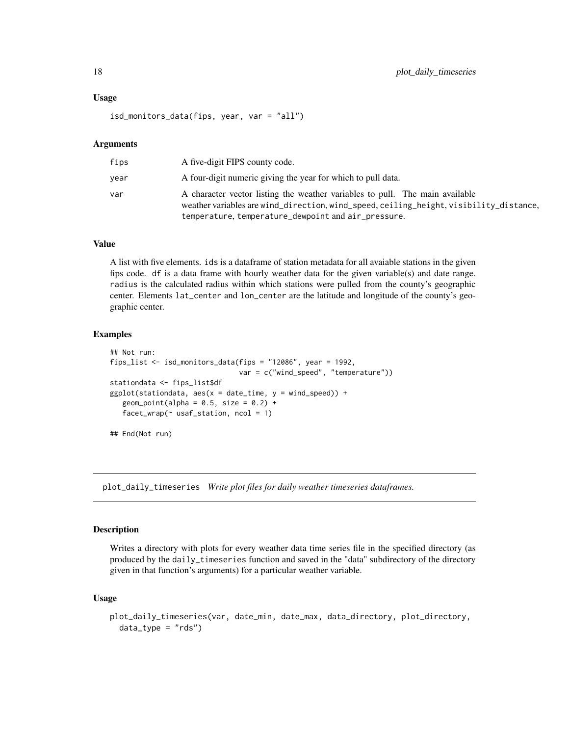#### <span id="page-17-0"></span>Usage

isd\_monitors\_data(fips, year, var = "all")

#### Arguments

| fips | A five-digit FIPS county code.                                                                                                                                                                                                |
|------|-------------------------------------------------------------------------------------------------------------------------------------------------------------------------------------------------------------------------------|
| vear | A four-digit numeric giving the year for which to pull data.                                                                                                                                                                  |
| var  | A character vector listing the weather variables to pull. The main available<br>weather variables are wind_direction, wind_speed, ceiling_height, visibility_distance,<br>temperature, temperature_dewpoint and air_pressure. |

# Value

A list with five elements. ids is a dataframe of station metadata for all avaiable stations in the given fips code. df is a data frame with hourly weather data for the given variable(s) and date range. radius is the calculated radius within which stations were pulled from the county's geographic center. Elements lat\_center and lon\_center are the latitude and longitude of the county's geographic center.

# Examples

```
## Not run:
fips_list <- isd_monitors_data(fips = "12086", year = 1992,
                                 var = c("wind_speed", "temperature"))
stationdata <- fips_list$df
ggplot(stationdata, aes(x = date_time, y = wind_speed)) +geom\_point(alpha = 0.5, size = 0.2) +factor_{wrap}(\sim \text{usaf\_station, } \text{ncol} = 1)## End(Not run)
```
plot\_daily\_timeseries *Write plot files for daily weather timeseries dataframes.*

## Description

Writes a directory with plots for every weather data time series file in the specified directory (as produced by the daily\_timeseries function and saved in the "data" subdirectory of the directory given in that function's arguments) for a particular weather variable.

# Usage

```
plot_daily_timeseries(var, date_min, date_max, data_directory, plot_directory,
  data_type = "rds")
```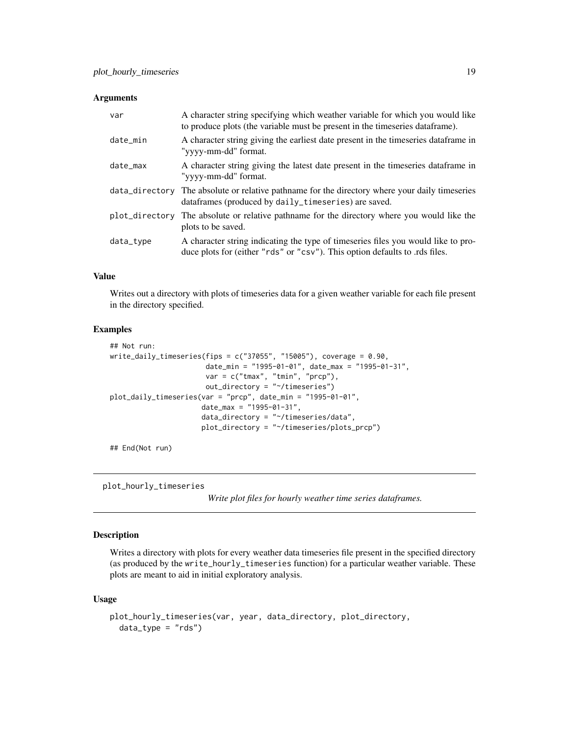#### <span id="page-18-0"></span>**Arguments**

| var       | A character string specifying which weather variable for which you would like<br>to produce plots (the variable must be present in the timeseries data frame).   |
|-----------|------------------------------------------------------------------------------------------------------------------------------------------------------------------|
| date_min  | A character string giving the earliest date present in the timeseries data frame in<br>"yyyy-mm-dd" format.                                                      |
| date_max  | A character string giving the latest date present in the timeseries data frame in<br>"yyyy-mm-dd" format.                                                        |
|           | data_directory The absolute or relative pathname for the directory where your daily timeseries<br>dataframes (produced by daily_timeseries) are saved.           |
|           | plot_directory The absolute or relative pathname for the directory where you would like the<br>plots to be saved.                                                |
| data_type | A character string indicating the type of timeseries files you would like to pro-<br>duce plots for (either "rds" or "csv"). This option defaults to .rds files. |

# Value

Writes out a directory with plots of timeseries data for a given weather variable for each file present in the directory specified.

#### Examples

```
## Not run:
write_daily_timeseries(fips = c("37055", "15005"), coverage = 0.90,
                       date_min = "1995-01-01", date_max = "1995-01-31",
                       var = c("tmax", "tmin", "prcp"),
                       out_directory = "~/timeseries")
plot_daily_timeseries(var = "prcp", date_min = "1995-01-01",
                      date_max = "1995-01-31",
                      data_directory = "~/timeseries/data",
                      plot_directory = "~/timeseries/plots_prcp")
```
## End(Not run)

plot\_hourly\_timeseries

*Write plot files for hourly weather time series dataframes.*

# Description

Writes a directory with plots for every weather data timeseries file present in the specified directory (as produced by the write\_hourly\_timeseries function) for a particular weather variable. These plots are meant to aid in initial exploratory analysis.

# Usage

```
plot_hourly_timeseries(var, year, data_directory, plot_directory,
  data_type = "rds")
```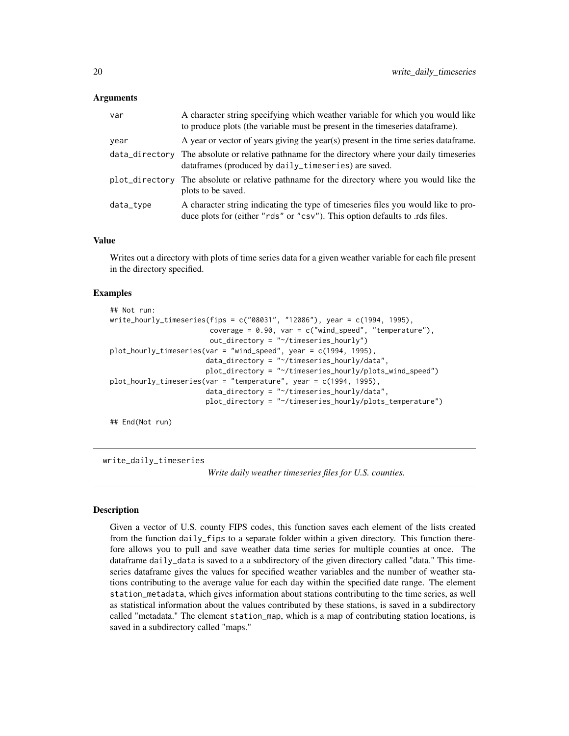# <span id="page-19-0"></span>Arguments

| var       | A character string specifying which weather variable for which you would like<br>to produce plots (the variable must be present in the timeseries data frame).   |
|-----------|------------------------------------------------------------------------------------------------------------------------------------------------------------------|
| vear      | A year or vector of years giving the year(s) present in the time series data frame.                                                                              |
|           | data_directory The absolute or relative pathname for the directory where your daily timeseries<br>dataframes (produced by daily_timeseries) are saved.           |
|           | plot_directory The absolute or relative pathname for the directory where you would like the<br>plots to be saved.                                                |
| data_type | A character string indicating the type of timeseries files you would like to pro-<br>duce plots for (either "rds" or "csv"). This option defaults to .rds files. |

# Value

Writes out a directory with plots of time series data for a given weather variable for each file present in the directory specified.

### Examples

```
## Not run:
write_hourly_timeseries(fips = c("08031", "12086"), year = c(1994, 1995),
                        coverage = 0.90, var = c("wind_speed", "temperature"),out_directory = "~/timeseries_hourly")
plot_hourly_timeseries(var = "wind_speed", year = c(1994, 1995),
                       data_directory = "~/timeseries_hourly/data",
                       plot_directory = "~/timeseries_hourly/plots_wind_speed")
plot_hourly_timeseries(var = "temperature", year = c(1994, 1995),
                       data_directory = "~/timeseries_hourly/data",
                       plot_directory = "~/timeseries_hourly/plots_temperature")
```
## End(Not run)

write\_daily\_timeseries

*Write daily weather timeseries files for U.S. counties.*

#### Description

Given a vector of U.S. county FIPS codes, this function saves each element of the lists created from the function daily\_fips to a separate folder within a given directory. This function therefore allows you to pull and save weather data time series for multiple counties at once. The dataframe daily\_data is saved to a a subdirectory of the given directory called "data." This timeseries dataframe gives the values for specified weather variables and the number of weather stations contributing to the average value for each day within the specified date range. The element station\_metadata, which gives information about stations contributing to the time series, as well as statistical information about the values contributed by these stations, is saved in a subdirectory called "metadata." The element station\_map, which is a map of contributing station locations, is saved in a subdirectory called "maps."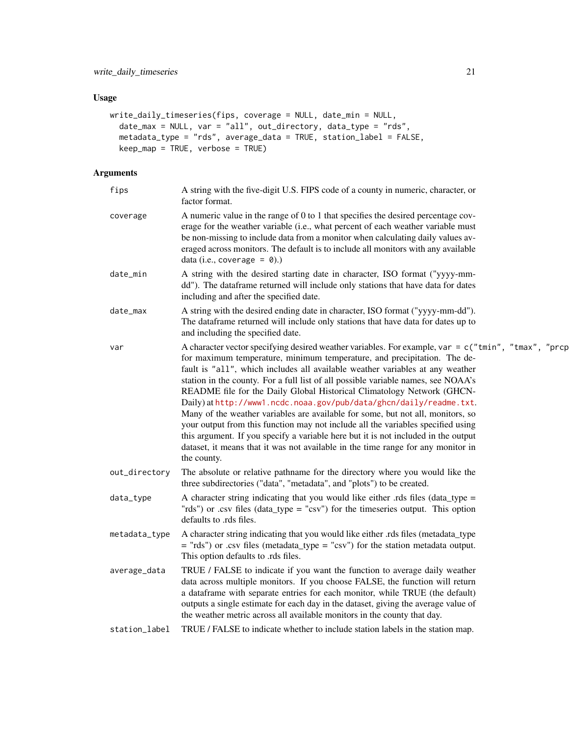# Usage

```
write_daily_timeseries(fips, coverage = NULL, date_min = NULL,
  date_max = NULL, var = "all", out_directory, data_type = "rds",
  metadata_type = "rds", average_data = TRUE, station_label = FALSE,
 keep_map = TRUE, verbose = TRUE)
```
# Arguments

| fips          | A string with the five-digit U.S. FIPS code of a county in numeric, character, or<br>factor format.                                                                                                                                                                                                                                                                                                                                                                                                                                                                                                                                                                                                                                                                                                                                                                       |
|---------------|---------------------------------------------------------------------------------------------------------------------------------------------------------------------------------------------------------------------------------------------------------------------------------------------------------------------------------------------------------------------------------------------------------------------------------------------------------------------------------------------------------------------------------------------------------------------------------------------------------------------------------------------------------------------------------------------------------------------------------------------------------------------------------------------------------------------------------------------------------------------------|
| coverage      | A numeric value in the range of 0 to 1 that specifies the desired percentage cov-<br>erage for the weather variable (i.e., what percent of each weather variable must<br>be non-missing to include data from a monitor when calculating daily values av-<br>eraged across monitors. The default is to include all monitors with any available<br>data (i.e., coverage = $\theta$ ).)                                                                                                                                                                                                                                                                                                                                                                                                                                                                                      |
| date_min      | A string with the desired starting date in character, ISO format ("yyyy-mm-<br>dd"). The dataframe returned will include only stations that have data for dates<br>including and after the specified date.                                                                                                                                                                                                                                                                                                                                                                                                                                                                                                                                                                                                                                                                |
| date_max      | A string with the desired ending date in character, ISO format ("yyyy-mm-dd").<br>The dataframe returned will include only stations that have data for dates up to<br>and including the specified date.                                                                                                                                                                                                                                                                                                                                                                                                                                                                                                                                                                                                                                                                   |
| var           | A character vector specifying desired weather variables. For example, var = $c$ ("tmin", "tmax", "prcp<br>for maximum temperature, minimum temperature, and precipitation. The de-<br>fault is "all", which includes all available weather variables at any weather<br>station in the county. For a full list of all possible variable names, see NOAA's<br>README file for the Daily Global Historical Climatology Network (GHCN-<br>Daily) at http://www1.ncdc.noaa.gov/pub/data/ghcn/daily/readme.txt.<br>Many of the weather variables are available for some, but not all, monitors, so<br>your output from this function may not include all the variables specified using<br>this argument. If you specify a variable here but it is not included in the output<br>dataset, it means that it was not available in the time range for any monitor in<br>the county. |
| out_directory | The absolute or relative pathname for the directory where you would like the<br>three subdirectories ("data", "metadata", and "plots") to be created.                                                                                                                                                                                                                                                                                                                                                                                                                                                                                                                                                                                                                                                                                                                     |
| data_type     | A character string indicating that you would like either .rds files (data_type =<br>"rds") or .csv files (data_type = "csv") for the timeseries output. This option<br>defaults to .rds files.                                                                                                                                                                                                                                                                                                                                                                                                                                                                                                                                                                                                                                                                            |
| metadata_type | A character string indicating that you would like either .rds files (metadata_type<br>$=$ "rds") or .csv files (metadata_type = "csv") for the station metadata output.<br>This option defaults to .rds files.                                                                                                                                                                                                                                                                                                                                                                                                                                                                                                                                                                                                                                                            |
| average_data  | TRUE / FALSE to indicate if you want the function to average daily weather<br>data across multiple monitors. If you choose FALSE, the function will return<br>a dataframe with separate entries for each monitor, while TRUE (the default)<br>outputs a single estimate for each day in the dataset, giving the average value of<br>the weather metric across all available monitors in the county that day.                                                                                                                                                                                                                                                                                                                                                                                                                                                              |
| station_label | TRUE / FALSE to indicate whether to include station labels in the station map.                                                                                                                                                                                                                                                                                                                                                                                                                                                                                                                                                                                                                                                                                                                                                                                            |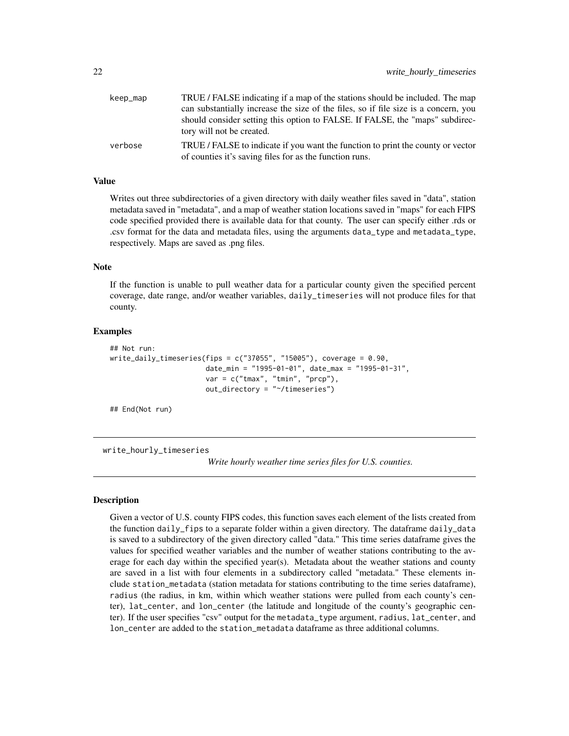<span id="page-21-0"></span>

| keep_map | TRUE / FALSE indicating if a map of the stations should be included. The map                                                               |
|----------|--------------------------------------------------------------------------------------------------------------------------------------------|
|          | can substantially increase the size of the files, so if file size is a concern, you                                                        |
|          | should consider setting this option to FALSE. If FALSE, the "maps" subdirec-<br>tory will not be created.                                  |
| verbose  | TRUE / FALSE to indicate if you want the function to print the county or vector<br>of counties it's saving files for as the function runs. |

# Value

Writes out three subdirectories of a given directory with daily weather files saved in "data", station metadata saved in "metadata", and a map of weather station locations saved in "maps" for each FIPS code specified provided there is available data for that county. The user can specify either .rds or .csv format for the data and metadata files, using the arguments data\_type and metadata\_type, respectively. Maps are saved as .png files.

# Note

If the function is unable to pull weather data for a particular county given the specified percent coverage, date range, and/or weather variables, daily\_timeseries will not produce files for that county.

# Examples

```
## Not run:
write\_daily\_timeseries(fips = c("37055", "15005"), coverage = 0.90,date_min = "1995-01-01", date_max = "1995-01-31",
                       var = c("tmax", "tmin", "prcp"),
                       out_directory = "~/timeseries")
```
## End(Not run)

write\_hourly\_timeseries

*Write hourly weather time series files for U.S. counties.*

#### Description

Given a vector of U.S. county FIPS codes, this function saves each element of the lists created from the function daily\_fips to a separate folder within a given directory. The dataframe daily\_data is saved to a subdirectory of the given directory called "data." This time series dataframe gives the values for specified weather variables and the number of weather stations contributing to the average for each day within the specified year(s). Metadata about the weather stations and county are saved in a list with four elements in a subdirectory called "metadata." These elements include station\_metadata (station metadata for stations contributing to the time series dataframe), radius (the radius, in km, within which weather stations were pulled from each county's center), lat\_center, and lon\_center (the latitude and longitude of the county's geographic center). If the user specifies "csv" output for the metadata\_type argument, radius, lat\_center, and lon\_center are added to the station\_metadata dataframe as three additional columns.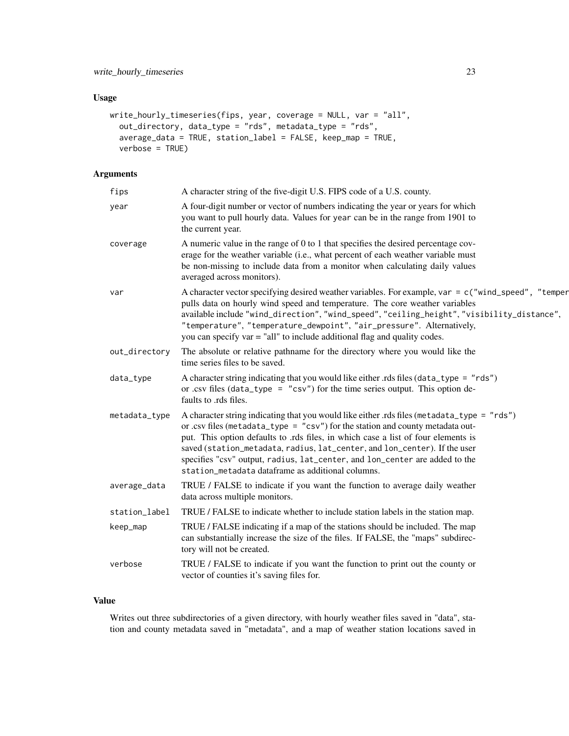# Usage

```
write_hourly_timeseries(fips, year, coverage = NULL, var = "all",
 out_directory, data_type = "rds", metadata_type = "rds",
  average_data = TRUE, station_label = FALSE, keep_map = TRUE,
  verbose = TRUE)
```
# Arguments

| fips          | A character string of the five-digit U.S. FIPS code of a U.S. county.                                                                                                                                                                                                                                                                                                                                                                                                                 |
|---------------|---------------------------------------------------------------------------------------------------------------------------------------------------------------------------------------------------------------------------------------------------------------------------------------------------------------------------------------------------------------------------------------------------------------------------------------------------------------------------------------|
| year          | A four-digit number or vector of numbers indicating the year or years for which<br>you want to pull hourly data. Values for year can be in the range from 1901 to<br>the current year.                                                                                                                                                                                                                                                                                                |
| coverage      | A numeric value in the range of 0 to 1 that specifies the desired percentage cov-<br>erage for the weather variable (i.e., what percent of each weather variable must<br>be non-missing to include data from a monitor when calculating daily values<br>averaged across monitors).                                                                                                                                                                                                    |
| var           | A character vector specifying desired weather variables. For example, var = $c$ ("wind_speed", "temper<br>pulls data on hourly wind speed and temperature. The core weather variables<br>available include "wind_direction", "wind_speed", "ceiling_height", "visibility_distance",<br>"temperature", "temperature_dewpoint", "air_pressure". Alternatively,<br>you can specify var = "all" to include additional flag and quality codes.                                             |
| out_directory | The absolute or relative pathname for the directory where you would like the<br>time series files to be saved.                                                                                                                                                                                                                                                                                                                                                                        |
| data_type     | A character string indicating that you would like either rds files (data_type = "rds")<br>or .csv files (data_type = "csv") for the time series output. This option de-<br>faults to .rds files.                                                                                                                                                                                                                                                                                      |
| metadata_type | A character string indicating that you would like either .rds files (metadata_type = "rds")<br>or .csv files (metadata_type = $"csv")$ for the station and county metadata out-<br>put. This option defaults to .rds files, in which case a list of four elements is<br>saved (station_metadata, radius, lat_center, and lon_center). If the user<br>specifies "csv" output, radius, lat_center, and lon_center are added to the<br>station metadata dataframe as additional columns. |
| average_data  | TRUE / FALSE to indicate if you want the function to average daily weather<br>data across multiple monitors.                                                                                                                                                                                                                                                                                                                                                                          |
| station_label | TRUE / FALSE to indicate whether to include station labels in the station map.                                                                                                                                                                                                                                                                                                                                                                                                        |
| keep_map      | TRUE / FALSE indicating if a map of the stations should be included. The map<br>can substantially increase the size of the files. If FALSE, the "maps" subdirec-<br>tory will not be created.                                                                                                                                                                                                                                                                                         |
| verbose       | TRUE / FALSE to indicate if you want the function to print out the county or<br>vector of counties it's saving files for.                                                                                                                                                                                                                                                                                                                                                             |
|               |                                                                                                                                                                                                                                                                                                                                                                                                                                                                                       |

# Value

Writes out three subdirectories of a given directory, with hourly weather files saved in "data", station and county metadata saved in "metadata", and a map of weather station locations saved in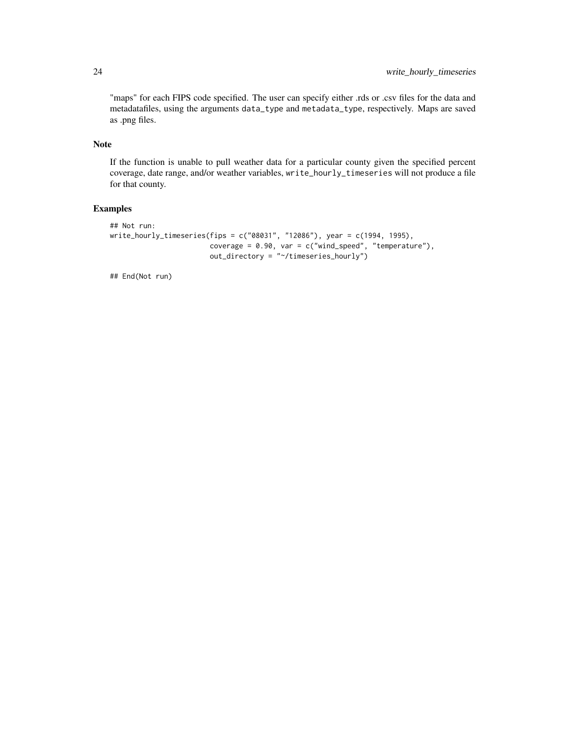"maps" for each FIPS code specified. The user can specify either .rds or .csv files for the data and metadatafiles, using the arguments data\_type and metadata\_type, respectively. Maps are saved as .png files.

# Note

If the function is unable to pull weather data for a particular county given the specified percent coverage, date range, and/or weather variables, write\_hourly\_timeseries will not produce a file for that county.

# Examples

```
## Not run:
write_hourly_timeseries(fips = c("08031", "12086"), year = c(1994, 1995),
                        coverage = 0.90, var = c("wind_speed", "temperature"),
                        out_directory = "~/timeseries_hourly")
```
## End(Not run)